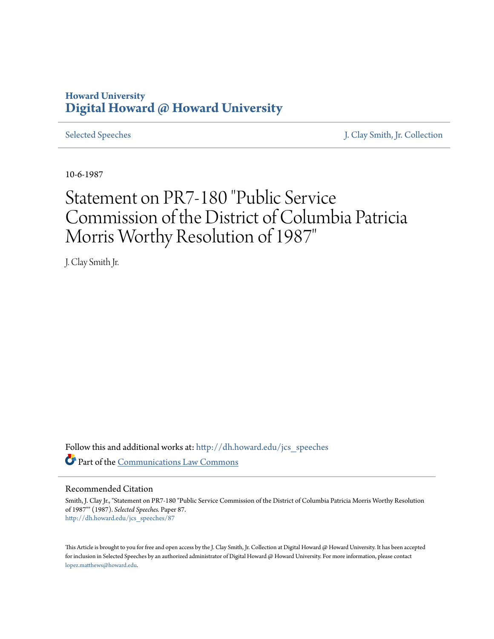# **Howard University [Digital Howard @ Howard University](http://dh.howard.edu?utm_source=dh.howard.edu%2Fjcs_speeches%2F87&utm_medium=PDF&utm_campaign=PDFCoverPages)**

[Selected Speeches](http://dh.howard.edu/jcs_speeches?utm_source=dh.howard.edu%2Fjcs_speeches%2F87&utm_medium=PDF&utm_campaign=PDFCoverPages) [J. Clay Smith, Jr. Collection](http://dh.howard.edu/jcsmith?utm_source=dh.howard.edu%2Fjcs_speeches%2F87&utm_medium=PDF&utm_campaign=PDFCoverPages)

10-6-1987

# Statement on PR7-180 "Public Service Commission of the District of Columbia Patricia Morris Worthy Resolution of 1987"

J. Clay Smith Jr.

Follow this and additional works at: [http://dh.howard.edu/jcs\\_speeches](http://dh.howard.edu/jcs_speeches?utm_source=dh.howard.edu%2Fjcs_speeches%2F87&utm_medium=PDF&utm_campaign=PDFCoverPages) Part of the [Communications Law Commons](http://network.bepress.com/hgg/discipline/587?utm_source=dh.howard.edu%2Fjcs_speeches%2F87&utm_medium=PDF&utm_campaign=PDFCoverPages)

### Recommended Citation

Smith, J. Clay Jr., "Statement on PR7-180 "Public Service Commission of the District of Columbia Patricia Morris Worthy Resolution of 1987"" (1987). *Selected Speeches.* Paper 87. [http://dh.howard.edu/jcs\\_speeches/87](http://dh.howard.edu/jcs_speeches/87?utm_source=dh.howard.edu%2Fjcs_speeches%2F87&utm_medium=PDF&utm_campaign=PDFCoverPages)

This Article is brought to you for free and open access by the J. Clay Smith, Jr. Collection at Digital Howard @ Howard University. It has been accepted for inclusion in Selected Speeches by an authorized administrator of Digital Howard @ Howard University. For more information, please contact [lopez.matthews@howard.edu.](mailto:lopez.matthews@howard.edu)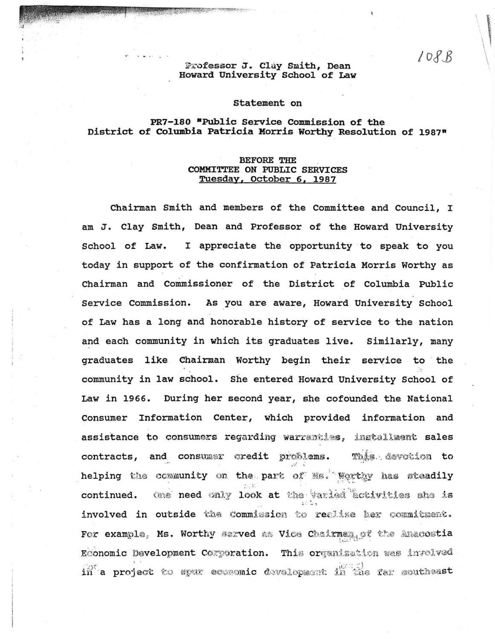$108B$ 

#### Professor J. Clay Smith, Dean Howard University School of Law

#### Statement on

## PR7-180 "Public Service Commission of the District of Columbia Patricia Morris Worthy Resolution of 1987"

#### **BEFORE THE** COMMITTEE ON PUBLIC SERVICES Tuesday, October 6, 1987

Chairman Smith and members of the Committee and Council, I am J. Clay Smith, Dean and Professor of the Howard University School of Law. I appreciate the opportunity to speak to you today in support of the confirmation of Patricia Morris Worthy as Chairman and Commissioner of the District of Columbia Public Service Commission. As you are aware, Howard University School of Law has a long and honorable history of service to the nation and each community in which its graduates live. Similarly, many graduates like Chairman Worthy begin their service to the community in law school. She entered Howard University School of Law in 1966. During her second year, she cofounded the National Consumer Information Center, which provided information and assistance to consumers regarding warranties, installment sales contracts, and consumer credit problems. This devotion to helping the community on the part of Ms. Worthy has steadily One need only look at the varied activities she is continued. involved in outside the Commission to realize her commitment. For example, Ms. Worthy served as Vice Chairman, of the Anacostia Economic Development Corporation. This organization was involved in a project to spur economic development in the far southeast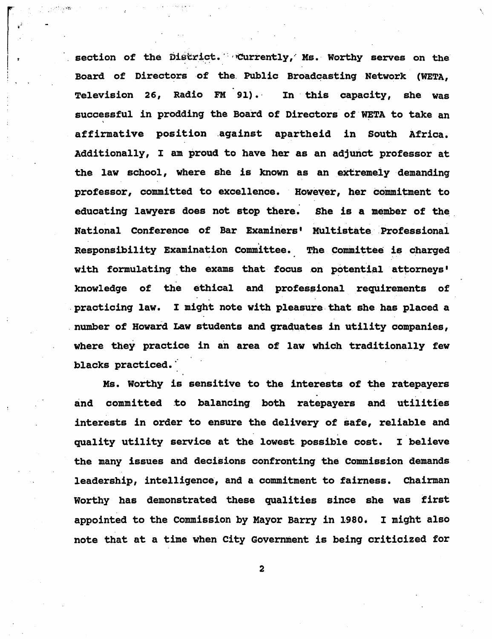section of the District. "Currently, Ms. Worthy serves on the Board of Directors of the Public Broadcasting Network (WETA, Television 26, Radio FM 91). In this capacity, she was successful in prodding the Board of Directors of WETA to take an affirmative position .against apartheid in South Africa. Additionally, I am proud to have her as an adjunct professor at the law school, where she is known as an extremely demanding professor, committed to excellence. However, her commitment to educating lawyers does not stop there. She is a member of the ever, her commitment to<br>She is a member of the<br>Multistate Professional National Conference of Bar Examiners' Multistate Professional Responsibility Examination Committee. The Committee is charged with formulating the exams that focus on potential attorneys' knowledge of the ethical and professional requirements of . practicing law. I might note with pleasure. that she has placed a number of Howard Law students and graduates in utility companies, where they practice in an area of law which traditionally few blacks practiced.'

Ms. Worthy is sensitive to the interests of the ratepayers and committed to balancing both ratepayers and utilities interests in order to ensure the delivery of safe, reliable and quality utility service at the lowest possible cost. I believe the many issues and decisions confronting the commission demands leadership, intelligence, and a commitment to fairness. Chairman Worthy has demonstrated these qualities since she was first appointed to the Commission by Mayor Barry in 1980. I might also note that at a time when City Government is being criticized for

2